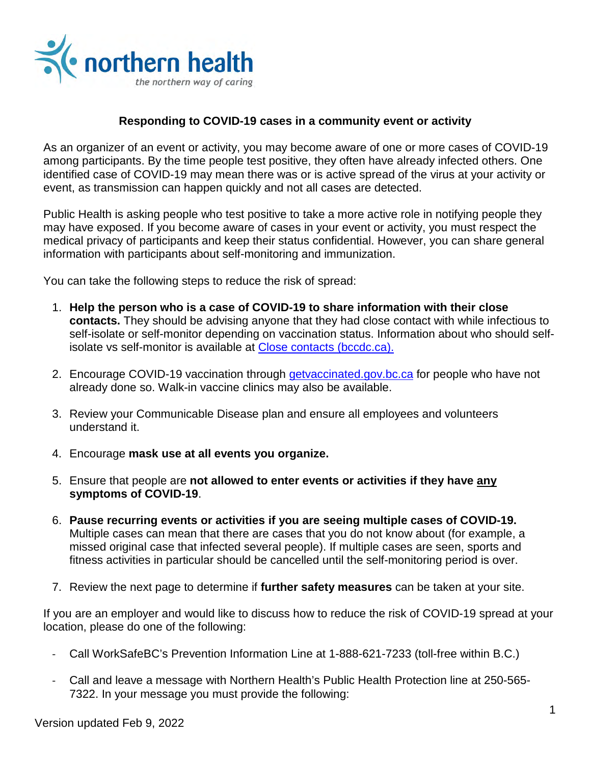

# **Responding to COVID-19 cases in a community event or activity**

As an organizer of an event or activity, you may become aware of one or more cases of COVID-19 among participants. By the time people test positive, they often have already infected others. One identified case of COVID-19 may mean there was or is active spread of the virus at your activity or event, as transmission can happen quickly and not all cases are detected.

Public Health is asking people who test positive to take a more active role in notifying people they may have exposed. If you become aware of cases in your event or activity, you must respect the medical privacy of participants and keep their status confidential. However, you can share general information with participants about self-monitoring and immunization.

You can take the following steps to reduce the risk of spread:

- 1. **Help the person who is a case of COVID-19 to share information with their close contacts.** They should be advising anyone that they had close contact with while infectious to self-isolate or self-monitor depending on vaccination status. Information about who should selfisolate vs self-monitor is available at [Close contacts \(bccdc.ca\).](http://www.bccdc.ca/health-info/diseases-conditions/covid-19/self-isolation/close-contacts)
- 2. Encourage COVID-19 vaccination through [getvaccinated.gov.bc.ca](https://www.getvaccinated.gov.bc.ca/s/) for people who have not already done so. Walk-in vaccine clinics may also be available.
- 3. Review your Communicable Disease plan and ensure all employees and volunteers understand it.
- 4. Encourage **mask use at all events you organize.**
- 5. Ensure that people are **not allowed to enter events or activities if they have any symptoms of COVID-19**.
- 6. **Pause recurring events or activities if you are seeing multiple cases of COVID-19.** Multiple cases can mean that there are cases that you do not know about (for example, a missed original case that infected several people). If multiple cases are seen, sports and fitness activities in particular should be cancelled until the self-monitoring period is over.
- 7. Review the next page to determine if **further safety measures** can be taken at your site.

If you are an employer and would like to discuss how to reduce the risk of COVID-19 spread at your location, please do one of the following:

- Call WorkSafeBC's Prevention Information Line at 1-888-621-7233 (toll-free within B.C.)
- Call and leave a message with Northern Health's Public Health Protection line at 250-565- 7322. In your message you must provide the following: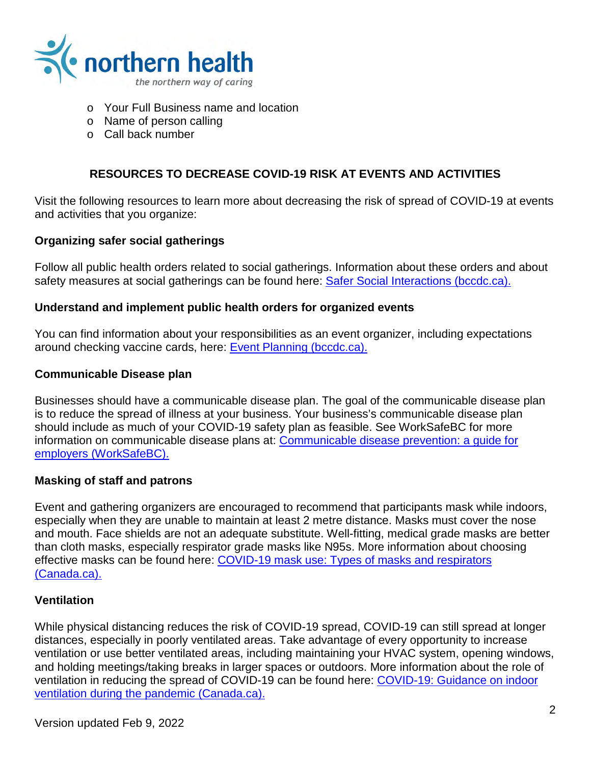

- o Your Full Business name and location
- o Name of person calling
- o Call back number

# **RESOURCES TO DECREASE COVID-19 RISK AT EVENTS AND ACTIVITIES**

Visit the following resources to learn more about decreasing the risk of spread of COVID-19 at events and activities that you organize:

## **Organizing safer social gatherings**

Follow all public health orders related to social gatherings. Information about these orders and about safety measures at social gatherings can be found here: **Safer Social Interactions (bccdc.ca).** 

#### **Understand and implement public health orders for organized events**

You can find information about your responsibilities as an event organizer, including expectations around checking vaccine cards, here: [Event Planning \(bccdc.ca\).](http://www.bccdc.ca/health-info/diseases-conditions/covid-19/event-planning)

#### **Communicable Disease plan**

Businesses should have a communicable disease plan. The goal of the communicable disease plan is to reduce the spread of illness at your business. Your business's communicable disease plan should include as much of your COVID-19 safety plan as feasible. See WorkSafeBC for more information on communicable disease plans at: [Communicable disease prevention: a guide for](https://www.worksafebc.com/en/resources/health-safety/books-guides/communicable-disease-prevention-guide-employers?lang=en)  [employers \(WorkSafeBC\).](https://www.worksafebc.com/en/resources/health-safety/books-guides/communicable-disease-prevention-guide-employers?lang=en)

#### **Masking of staff and patrons**

Event and gathering organizers are encouraged to recommend that participants mask while indoors, especially when they are unable to maintain at least 2 metre distance. Masks must cover the nose and mouth. Face shields are not an adequate substitute. Well-fitting, medical grade masks are better than cloth masks, especially respirator grade masks like N95s. More information about choosing effective masks can be found here: [COVID-19 mask use: Types of masks and respirators](https://www.canada.ca/en/public-health/services/publications/diseases-conditions/types-masks-respirators.html)  [\(Canada.ca\).](https://www.canada.ca/en/public-health/services/publications/diseases-conditions/types-masks-respirators.html)

#### **Ventilation**

While physical distancing reduces the risk of COVID-19 spread, COVID-19 can still spread at longer distances, especially in poorly ventilated areas. Take advantage of every opportunity to increase ventilation or use better ventilated areas, including maintaining your HVAC system, opening windows, and holding meetings/taking breaks in larger spaces or outdoors. More information about the role of ventilation in reducing the spread of COVID-19 can be found here: COVID-19: [Guidance on indoor](https://www.canada.ca/en/public-health/services/diseases/2019-novel-coronavirus-infection/guidance-documents/guide-indoor-ventilation-covid-19-pandemic.html)  [ventilation during the pandemic \(Canada.ca\).](https://www.canada.ca/en/public-health/services/diseases/2019-novel-coronavirus-infection/guidance-documents/guide-indoor-ventilation-covid-19-pandemic.html)